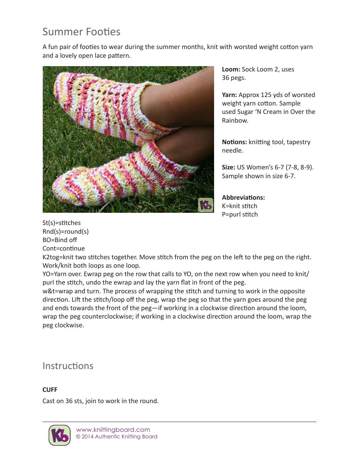# Summer Footies

A fun pair of footies to wear during the summer months, knit with worsted weight cotton yarn and a lovely open lace pattern.



**Loom:** Sock Loom 2, uses 36 pegs.

**Yarn:** Approx 125 yds of worsted weight yarn cotton. Sample used Sugar 'N Cream in Over the Rainbow.

**Notions:** knitting tool, tapestry needle.

**Size:** US Women's 6-7 (7-8, 8-9). Sample shown in size 6-7.

**Abbreviations:** K=knit stitch P=purl stitch

St(s)=stitches Rnd(s)=round(s) BO=Bind off Cont=continue

K2tog=knit two stitches together. Move stitch from the peg on the left to the peg on the right. Work/knit both loops as one loop.

YO=Yarn over. Ewrap peg on the row that calls to YO, on the next row when you need to knit/ purl the stitch, undo the ewrap and lay the yarn flat in front of the peg.

w&t=wrap and turn. The process of wrapping the stitch and turning to work in the opposite direction. Lift the stitch/loop off the peg, wrap the peg so that the yarn goes around the peg and ends towards the front of the peg—if working in a clockwise direction around the loom, wrap the peg counterclockwise; if working in a clockwise direction around the loom, wrap the peg clockwise.

## **Instructions**

### **CUFF**

Cast on 36 sts, join to work in the round.

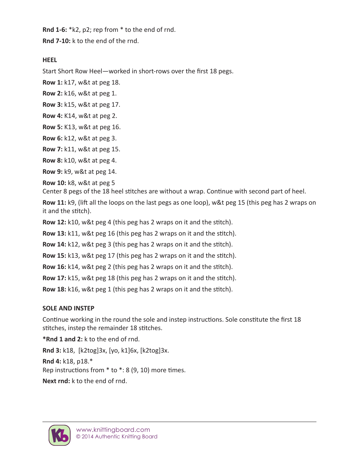**Rnd 1-6:** \*k2, p2; rep from \* to the end of rnd.

**Rnd 7-10:** k to the end of the rnd.

**HEEL**

Start Short Row Heel—worked in short-rows over the first 18 pegs.

**Row 1:** k17, w&t at peg 18.

**Row 2:** k16, w&t at peg 1.

**Row 3:** k15, w&t at peg 17.

**Row 4:** K14, w&t at peg 2.

**Row 5:** K13, w&t at peg 16.

**Row 6:** k12, w&t at peg 3.

**Row 7:** k11, w&t at peg 15.

**Row 8:** k10, w&t at peg 4.

**Row 9:** k9, w&t at peg 14.

**Row 10:** k8, w&t at peg 5

Center 8 pegs of the 18 heel stitches are without a wrap. Continue with second part of heel.

**Row 11:** k9, (lift all the loops on the last pegs as one loop), w&t peg 15 (this peg has 2 wraps on it and the stitch).

**Row 12:** k10, w&t peg 4 (this peg has 2 wraps on it and the stitch).

**Row 13:** k11, w&t peg 16 (this peg has 2 wraps on it and the stitch).

**Row 14:** k12, w&t peg 3 (this peg has 2 wraps on it and the stitch).

**Row 15:** k13, w&t peg 17 (this peg has 2 wraps on it and the stitch).

**Row 16:** k14, w&t peg 2 (this peg has 2 wraps on it and the stitch).

**Row 17:** k15, w&t peg 18 (this peg has 2 wraps on it and the stitch).

**Row 18:** k16, w&t peg 1 (this peg has 2 wraps on it and the stitch).

### **SOLE AND INSTEP**

Continue working in the round the sole and instep instructions. Sole constitute the first 18 stitches, instep the remainder 18 stitches.

**\*Rnd 1 and 2:** k to the end of rnd.

**Rnd 3:** k18, [k2tog]3x, [yo, k1]6x, [k2tog]3x.

**Rnd 4:** k18, p18.\* Rep instructions from \* to \*: 8 (9, 10) more times.

**Next rnd:** k to the end of rnd.